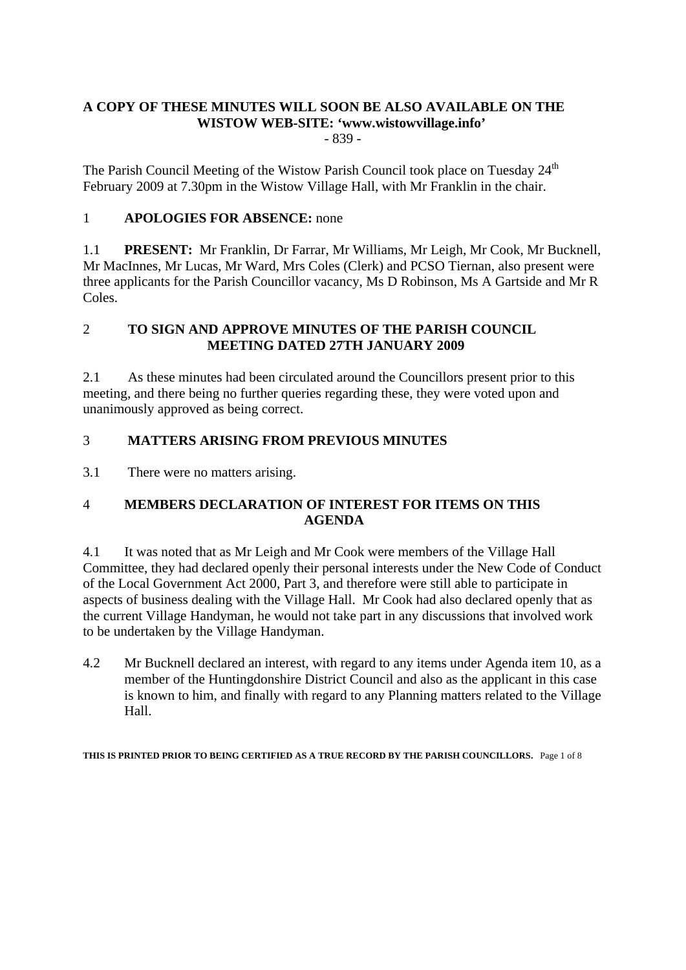## **A COPY OF THESE MINUTES WILL SOON BE ALSO AVAILABLE ON THE WISTOW WEB-SITE: 'www.wistowvillage.info'**

- 839 -

The Parish Council Meeting of the Wistow Parish Council took place on Tuesday 24<sup>th</sup> February 2009 at 7.30pm in the Wistow Village Hall, with Mr Franklin in the chair.

## 1 **APOLOGIES FOR ABSENCE:** none

1.1 **PRESENT:** Mr Franklin, Dr Farrar, Mr Williams, Mr Leigh, Mr Cook, Mr Bucknell, Mr MacInnes, Mr Lucas, Mr Ward, Mrs Coles (Clerk) and PCSO Tiernan, also present were three applicants for the Parish Councillor vacancy, Ms D Robinson, Ms A Gartside and Mr R Coles.

#### 2 **TO SIGN AND APPROVE MINUTES OF THE PARISH COUNCIL MEETING DATED 27TH JANUARY 2009**

2.1 As these minutes had been circulated around the Councillors present prior to this meeting, and there being no further queries regarding these, they were voted upon and unanimously approved as being correct.

## 3 **MATTERS ARISING FROM PREVIOUS MINUTES**

3.1 There were no matters arising.

## 4 **MEMBERS DECLARATION OF INTEREST FOR ITEMS ON THIS AGENDA**

4.1 It was noted that as Mr Leigh and Mr Cook were members of the Village Hall Committee, they had declared openly their personal interests under the New Code of Conduct of the Local Government Act 2000, Part 3, and therefore were still able to participate in aspects of business dealing with the Village Hall. Mr Cook had also declared openly that as the current Village Handyman, he would not take part in any discussions that involved work to be undertaken by the Village Handyman.

4.2 Mr Bucknell declared an interest, with regard to any items under Agenda item 10, as a member of the Huntingdonshire District Council and also as the applicant in this case is known to him, and finally with regard to any Planning matters related to the Village Hall.

**THIS IS PRINTED PRIOR TO BEING CERTIFIED AS A TRUE RECORD BY THE PARISH COUNCILLORS.** Page 1 of 8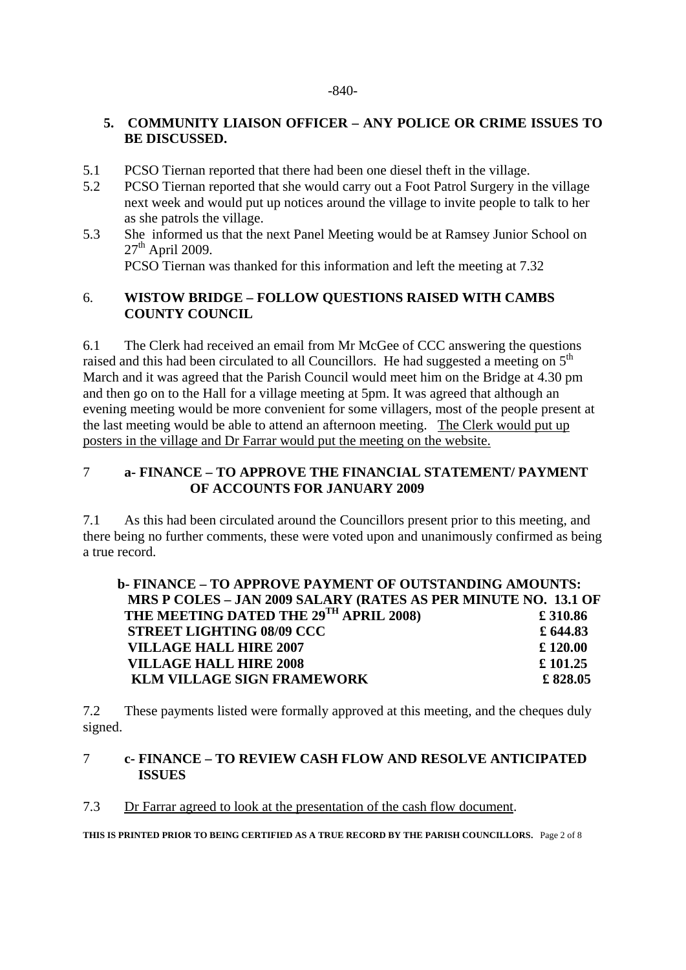#### -840-

#### **5. COMMUNITY LIAISON OFFICER – ANY POLICE OR CRIME ISSUES TO BE DISCUSSED.**

- 5.1 PCSO Tiernan reported that there had been one diesel theft in the village.
- 5.2 PCSO Tiernan reported that she would carry out a Foot Patrol Surgery in the village next week and would put up notices around the village to invite people to talk to her as she patrols the village.
- 5.3 She informed us that the next Panel Meeting would be at Ramsey Junior School on  $27<sup>th</sup>$  April 2009. PCSO Tiernan was thanked for this information and left the meeting at 7.32

#### 6. **WISTOW BRIDGE – FOLLOW QUESTIONS RAISED WITH CAMBS COUNTY COUNCIL**

6.1 The Clerk had received an email from Mr McGee of CCC answering the questions raised and this had been circulated to all Councillors. He had suggested a meeting on  $5<sup>th</sup>$ March and it was agreed that the Parish Council would meet him on the Bridge at 4.30 pm and then go on to the Hall for a village meeting at 5pm. It was agreed that although an evening meeting would be more convenient for some villagers, most of the people present at the last meeting would be able to attend an afternoon meeting. The Clerk would put up posters in the village and Dr Farrar would put the meeting on the website.

## 7 **a- FINANCE – TO APPROVE THE FINANCIAL STATEMENT/ PAYMENT OF ACCOUNTS FOR JANUARY 2009**

7.1 As this had been circulated around the Councillors present prior to this meeting, and there being no further comments, these were voted upon and unanimously confirmed as being a true record.

| b-FINANCE – TO APPROVE PAYMENT OF OUTSTANDING AMOUNTS:         |            |
|----------------------------------------------------------------|------------|
| MRS P COLES - JAN 2009 SALARY (RATES AS PER MINUTE NO. 13.1 OF |            |
| THE MEETING DATED THE 29TH APRIL 2008)                         | £310.86    |
| <b>STREET LIGHTING 08/09 CCC</b>                               | £ $644.83$ |
| <b>VILLAGE HALL HIRE 2007</b>                                  | £ 120.00   |
| <b>VILLAGE HALL HIRE 2008</b>                                  | £ 101.25   |
| <b>KLM VILLAGE SIGN FRAMEWORK</b>                              | £828.05    |

7.2 These payments listed were formally approved at this meeting, and the cheques duly signed.

#### 7 **c- FINANCE – TO REVIEW CASH FLOW AND RESOLVE ANTICIPATED ISSUES**

#### 7.3 Dr Farrar agreed to look at the presentation of the cash flow document.

**THIS IS PRINTED PRIOR TO BEING CERTIFIED AS A TRUE RECORD BY THE PARISH COUNCILLORS.** Page 2 of 8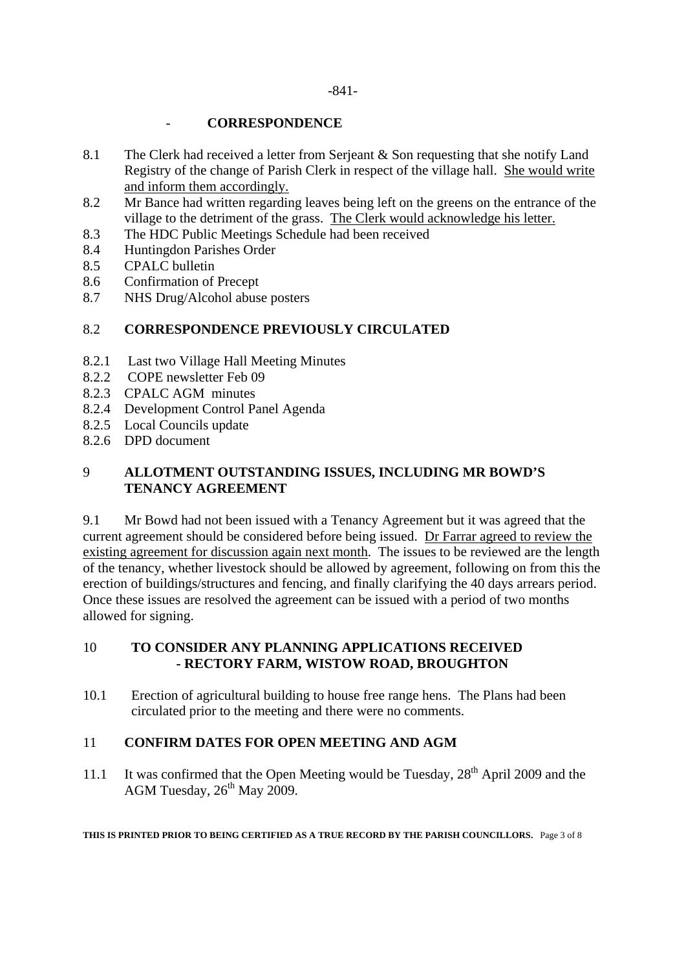#### -841-

#### - **CORRESPONDENCE**

- 8.1 The Clerk had received a letter from Serjeant & Son requesting that she notify Land Registry of the change of Parish Clerk in respect of the village hall. She would write and inform them accordingly.
- 8.2 Mr Bance had written regarding leaves being left on the greens on the entrance of the village to the detriment of the grass. The Clerk would acknowledge his letter.
- 8.3 The HDC Public Meetings Schedule had been received
- 8.4 Huntingdon Parishes Order
- 8.5 CPALC bulletin
- 8.6 Confirmation of Precept
- 8.7 NHS Drug/Alcohol abuse posters

## 8.2 **CORRESPONDENCE PREVIOUSLY CIRCULATED**

- 8.2.1 Last two Village Hall Meeting Minutes
- 8.2.2 COPE newsletter Feb 09
- 8.2.3 CPALC AGM minutes
- 8.2.4 Development Control Panel Agenda
- 8.2.5 Local Councils update
- 8.2.6 DPD document

## 9 **ALLOTMENT OUTSTANDING ISSUES, INCLUDING MR BOWD'S TENANCY AGREEMENT**

9.1 Mr Bowd had not been issued with a Tenancy Agreement but it was agreed that the current agreement should be considered before being issued. Dr Farrar agreed to review the existing agreement for discussion again next month. The issues to be reviewed are the length of the tenancy, whether livestock should be allowed by agreement, following on from this the erection of buildings/structures and fencing, and finally clarifying the 40 days arrears period. Once these issues are resolved the agreement can be issued with a period of two months allowed for signing.

#### 10 **TO CONSIDER ANY PLANNING APPLICATIONS RECEIVED - RECTORY FARM, WISTOW ROAD, BROUGHTON**

10.1 Erection of agricultural building to house free range hens. The Plans had been circulated prior to the meeting and there were no comments.

#### 11 **CONFIRM DATES FOR OPEN MEETING AND AGM**

11.1 It was confirmed that the Open Meeting would be Tuesday,  $28<sup>th</sup>$  April 2009 and the AGM Tuesday,  $26<sup>th</sup>$  May 2009.

**THIS IS PRINTED PRIOR TO BEING CERTIFIED AS A TRUE RECORD BY THE PARISH COUNCILLORS.** Page 3 of 8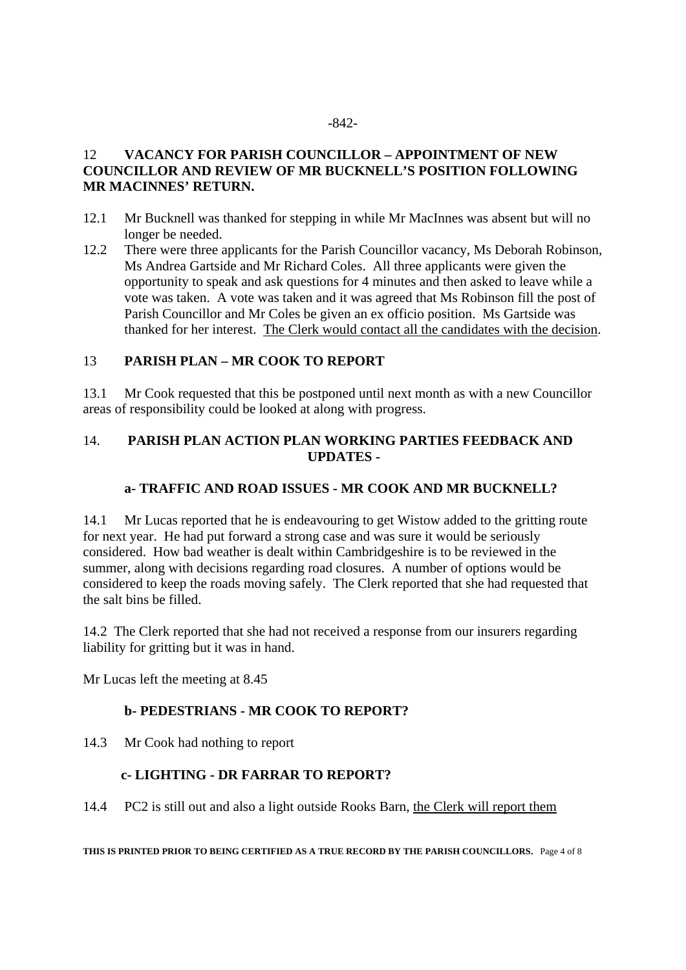#### -842-

## 12 **VACANCY FOR PARISH COUNCILLOR – APPOINTMENT OF NEW COUNCILLOR AND REVIEW OF MR BUCKNELL'S POSITION FOLLOWING MR MACINNES' RETURN.**

- 12.1 Mr Bucknell was thanked for stepping in while Mr MacInnes was absent but will no longer be needed.
- 12.2 There were three applicants for the Parish Councillor vacancy, Ms Deborah Robinson, Ms Andrea Gartside and Mr Richard Coles. All three applicants were given the opportunity to speak and ask questions for 4 minutes and then asked to leave while a vote was taken. A vote was taken and it was agreed that Ms Robinson fill the post of Parish Councillor and Mr Coles be given an ex officio position. Ms Gartside was thanked for her interest. The Clerk would contact all the candidates with the decision.

#### 13 **PARISH PLAN – MR COOK TO REPORT**

13.1 Mr Cook requested that this be postponed until next month as with a new Councillor areas of responsibility could be looked at along with progress.

#### 14. **PARISH PLAN ACTION PLAN WORKING PARTIES FEEDBACK AND UPDATES -**

#### **a- TRAFFIC AND ROAD ISSUES - MR COOK AND MR BUCKNELL?**

14.1 Mr Lucas reported that he is endeavouring to get Wistow added to the gritting route for next year. He had put forward a strong case and was sure it would be seriously considered. How bad weather is dealt within Cambridgeshire is to be reviewed in the summer, along with decisions regarding road closures. A number of options would be considered to keep the roads moving safely. The Clerk reported that she had requested that the salt bins be filled.

14.2 The Clerk reported that she had not received a response from our insurers regarding liability for gritting but it was in hand.

Mr Lucas left the meeting at 8.45

## **b- PEDESTRIANS - MR COOK TO REPORT?**

14.3 Mr Cook had nothing to report

## **c- LIGHTING - DR FARRAR TO REPORT?**

14.4 PC2 is still out and also a light outside Rooks Barn, the Clerk will report them

**THIS IS PRINTED PRIOR TO BEING CERTIFIED AS A TRUE RECORD BY THE PARISH COUNCILLORS.** Page 4 of 8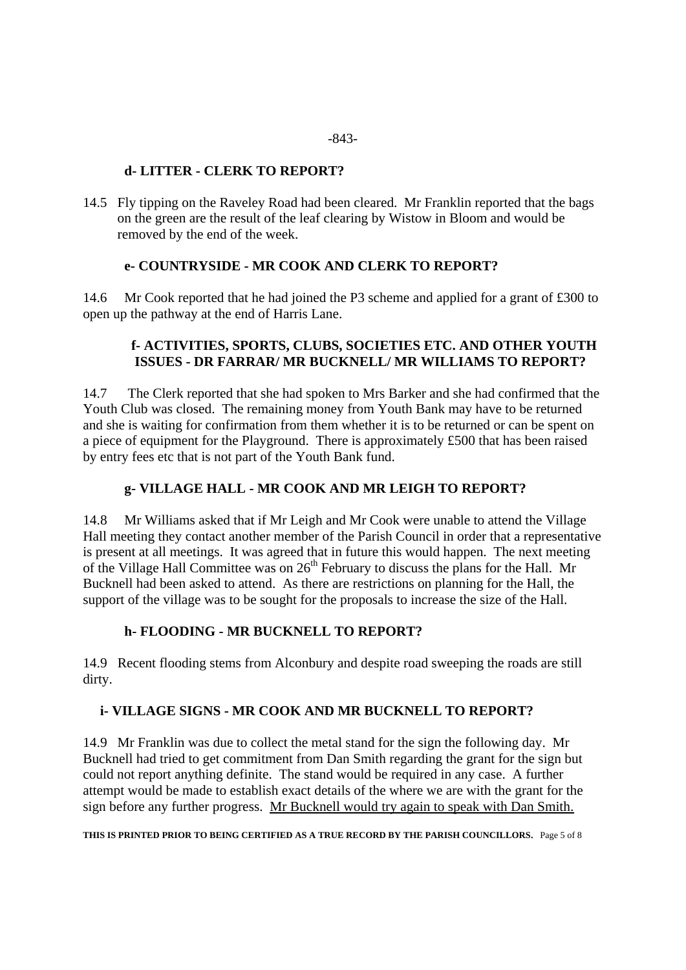## **d- LITTER - CLERK TO REPORT?**

14.5 Fly tipping on the Raveley Road had been cleared. Mr Franklin reported that the bags on the green are the result of the leaf clearing by Wistow in Bloom and would be removed by the end of the week.

#### **e- COUNTRYSIDE - MR COOK AND CLERK TO REPORT?**

14.6 Mr Cook reported that he had joined the P3 scheme and applied for a grant of £300 to open up the pathway at the end of Harris Lane.

## **f- ACTIVITIES, SPORTS, CLUBS, SOCIETIES ETC. AND OTHER YOUTH ISSUES - DR FARRAR/ MR BUCKNELL/ MR WILLIAMS TO REPORT?**

14.7 The Clerk reported that she had spoken to Mrs Barker and she had confirmed that the Youth Club was closed. The remaining money from Youth Bank may have to be returned and she is waiting for confirmation from them whether it is to be returned or can be spent on a piece of equipment for the Playground. There is approximately £500 that has been raised by entry fees etc that is not part of the Youth Bank fund.

## **g- VILLAGE HALL - MR COOK AND MR LEIGH TO REPORT?**

14.8 Mr Williams asked that if Mr Leigh and Mr Cook were unable to attend the Village Hall meeting they contact another member of the Parish Council in order that a representative is present at all meetings. It was agreed that in future this would happen. The next meeting of the Village Hall Committee was on  $26<sup>th</sup>$  February to discuss the plans for the Hall. Mr Bucknell had been asked to attend. As there are restrictions on planning for the Hall, the support of the village was to be sought for the proposals to increase the size of the Hall.

#### **h- FLOODING - MR BUCKNELL TO REPORT?**

14.9 Recent flooding stems from Alconbury and despite road sweeping the roads are still dirty.

## **i- VILLAGE SIGNS - MR COOK AND MR BUCKNELL TO REPORT?**

14.9 Mr Franklin was due to collect the metal stand for the sign the following day. Mr Bucknell had tried to get commitment from Dan Smith regarding the grant for the sign but could not report anything definite. The stand would be required in any case. A further attempt would be made to establish exact details of the where we are with the grant for the sign before any further progress. Mr Bucknell would try again to speak with Dan Smith.

#### **THIS IS PRINTED PRIOR TO BEING CERTIFIED AS A TRUE RECORD BY THE PARISH COUNCILLORS.** Page 5 of 8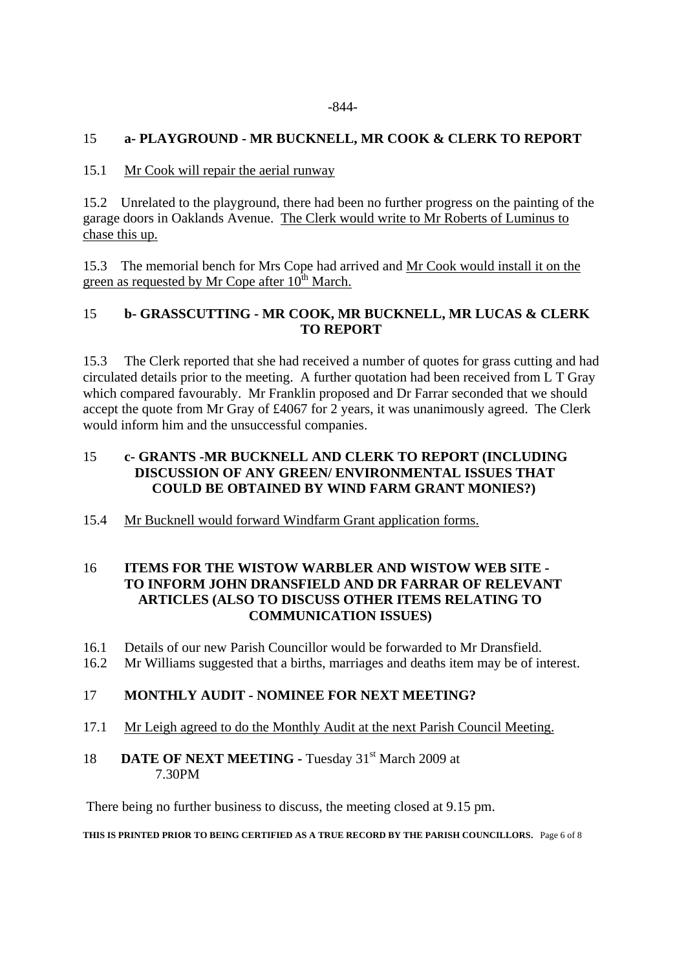## 15 **a- PLAYGROUND - MR BUCKNELL, MR COOK & CLERK TO REPORT**

## 15.1 Mr Cook will repair the aerial runway

15.2 Unrelated to the playground, there had been no further progress on the painting of the garage doors in Oaklands Avenue. The Clerk would write to Mr Roberts of Luminus to chase this up.

15.3 The memorial bench for Mrs Cope had arrived and Mr Cook would install it on the green as requested by Mr Cope after  $10^{th}$  March.

## 15 **b- GRASSCUTTING - MR COOK, MR BUCKNELL, MR LUCAS & CLERK TO REPORT**

15.3 The Clerk reported that she had received a number of quotes for grass cutting and had circulated details prior to the meeting. A further quotation had been received from L T Gray which compared favourably. Mr Franklin proposed and Dr Farrar seconded that we should accept the quote from Mr Gray of £4067 for 2 years, it was unanimously agreed. The Clerk would inform him and the unsuccessful companies.

#### 15 **c- GRANTS -MR BUCKNELL AND CLERK TO REPORT (INCLUDING DISCUSSION OF ANY GREEN/ ENVIRONMENTAL ISSUES THAT COULD BE OBTAINED BY WIND FARM GRANT MONIES?)**

15.4 Mr Bucknell would forward Windfarm Grant application forms.

#### 16 **ITEMS FOR THE WISTOW WARBLER AND WISTOW WEB SITE - TO INFORM JOHN DRANSFIELD AND DR FARRAR OF RELEVANT ARTICLES (ALSO TO DISCUSS OTHER ITEMS RELATING TO COMMUNICATION ISSUES)**

- 16.1 Details of our new Parish Councillor would be forwarded to Mr Dransfield.
- 16.2 Mr Williams suggested that a births, marriages and deaths item may be of interest.

## 17 **MONTHLY AUDIT - NOMINEE FOR NEXT MEETING?**

17.1 Mr Leigh agreed to do the Monthly Audit at the next Parish Council Meeting.

## 18 **DATE OF NEXT MEETING - Tuesday 31st March 2009 at** 7.30PM

There being no further business to discuss, the meeting closed at 9.15 pm.

#### **THIS IS PRINTED PRIOR TO BEING CERTIFIED AS A TRUE RECORD BY THE PARISH COUNCILLORS.** Page 6 of 8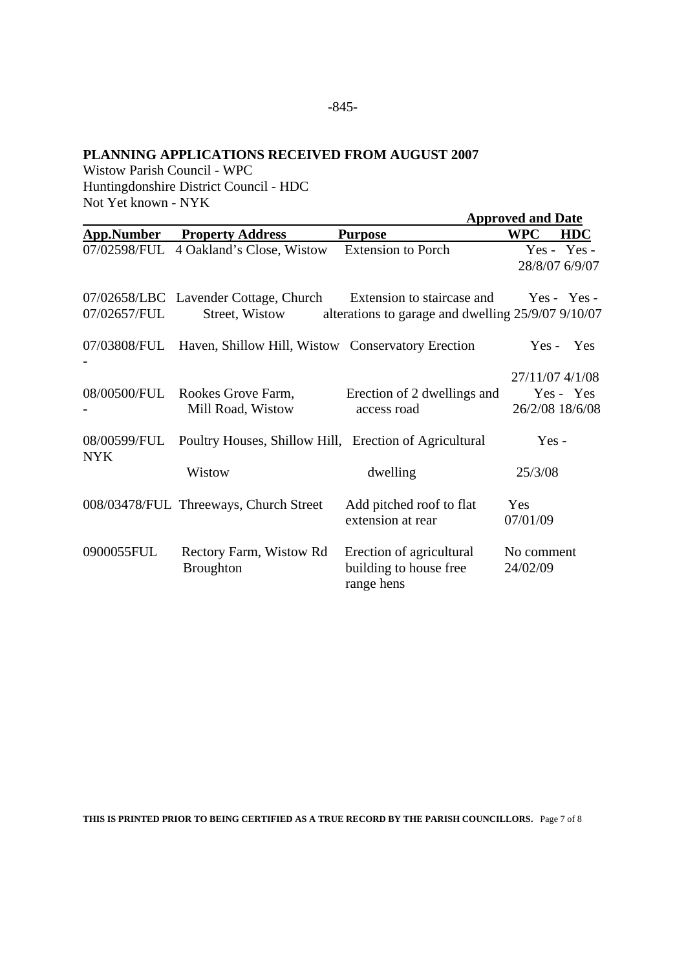#### **PLANNING APPLICATIONS RECEIVED FROM AUGUST 2007**

Wistow Parish Council - WPC Huntingdonshire District Council - HDC Not Yet known - NYK

|                            |                                                                |                                                                                  | <b>Approved and Date</b>           |                               |
|----------------------------|----------------------------------------------------------------|----------------------------------------------------------------------------------|------------------------------------|-------------------------------|
| <b>App.Number</b>          | <b>Property Address</b>                                        | <b>Purpose</b>                                                                   | <b>WPC</b>                         | <b>HDC</b>                    |
|                            | 07/02598/FUL 4 Oakland's Close, Wistow Extension to Porch      |                                                                                  |                                    | Yes - Yes -<br>28/8/07 6/9/07 |
| 07/02657/FUL               | 07/02658/LBC Lavender Cottage, Church<br>Street, Wistow        | Extension to staircase and<br>alterations to garage and dwelling 25/9/07 9/10/07 |                                    | $Yes - Yes -$                 |
|                            | 07/03808/FUL Haven, Shillow Hill, Wistow Conservatory Erection |                                                                                  | $Yes -$                            | Yes                           |
|                            | 08/00500/FUL Rookes Grove Farm,<br>Mill Road, Wistow           | Erection of 2 dwellings and<br>access road                                       | 27/11/07 4/1/08<br>26/2/08 18/6/08 | Yes - Yes                     |
| 08/00599/FUL<br><b>NYK</b> | Poultry Houses, Shillow Hill, Erection of Agricultural         |                                                                                  | $Yes -$                            |                               |
|                            | Wistow                                                         | dwelling                                                                         | 25/3/08                            |                               |
|                            | 008/03478/FUL Threeways, Church Street                         | Add pitched roof to flat<br>extension at rear                                    | Yes<br>07/01/09                    |                               |
| 0900055FUL                 | Rectory Farm, Wistow Rd<br><b>Broughton</b>                    | Erection of agricultural<br>building to house free<br>range hens                 | No comment<br>24/02/09             |                               |

**THIS IS PRINTED PRIOR TO BEING CERTIFIED AS A TRUE RECORD BY THE PARISH COUNCILLORS.** Page 7 of 8